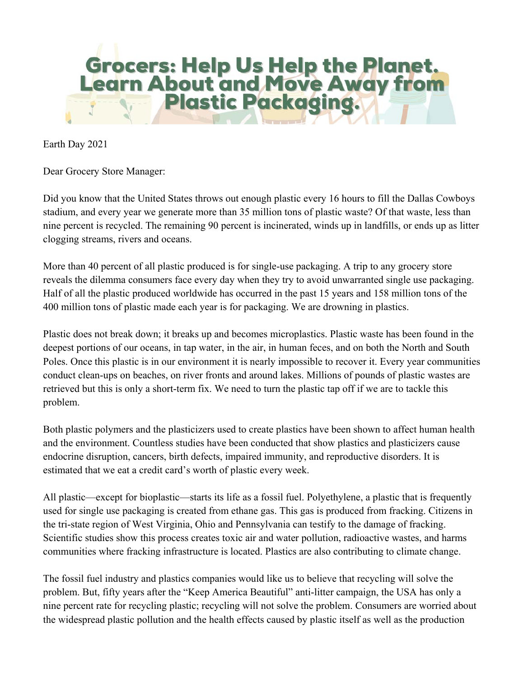

Earth Day 2021

Dear Grocery Store Manager:

Did you know that the United States throws out enough plastic every 16 hours to fill the Dallas Cowboys stadium, and every year we generate more than 35 million tons of plastic waste? Of that waste, less than nine percent is recycled. The remaining 90 percent is incinerated, winds up in landfills, or ends up as litter clogging streams, rivers and oceans.

More than 40 percent of all plastic produced is for single-use packaging. A trip to any grocery store reveals the dilemma consumers face every day when they try to avoid unwarranted single use packaging. Half of all the plastic produced worldwide has occurred in the past 15 years and 158 million tons of the 400 million tons of plastic made each year is for packaging. We are drowning in plastics.

Plastic does not break down; it breaks up and becomes microplastics. Plastic waste has been found in the deepest portions of our oceans, in tap water, in the air, in human feces, and on both the North and South Poles. Once this plastic is in our environment it is nearly impossible to recover it. Every year communities conduct clean-ups on beaches, on river fronts and around lakes. Millions of pounds of plastic wastes are retrieved but this is only a short-term fix. We need to turn the plastic tap off if we are to tackle this problem.

Both plastic polymers and the plasticizers used to create plastics have been shown to affect human health and the environment. Countless studies have been conducted that show plastics and plasticizers cause endocrine disruption, cancers, birth defects, impaired immunity, and reproductive disorders. It is estimated that we eat a credit card's worth of plastic every week.

All plastic—except for bioplastic—starts its life as a fossil fuel. Polyethylene, a plastic that is frequently used for single use packaging is created from ethane gas. This gas is produced from fracking. Citizens in the tri-state region of West Virginia, Ohio and Pennsylvania can testify to the damage of fracking. Scientific studies show this process creates toxic air and water pollution, radioactive wastes, and harms communities where fracking infrastructure is located. Plastics are also contributing to climate change.

The fossil fuel industry and plastics companies would like us to believe that recycling will solve the problem. But, fifty years after the "Keep America Beautiful" anti-litter campaign, the USA has only a nine percent rate for recycling plastic; recycling will not solve the problem. Consumers are worried about the widespread plastic pollution and the health effects caused by plastic itself as well as the production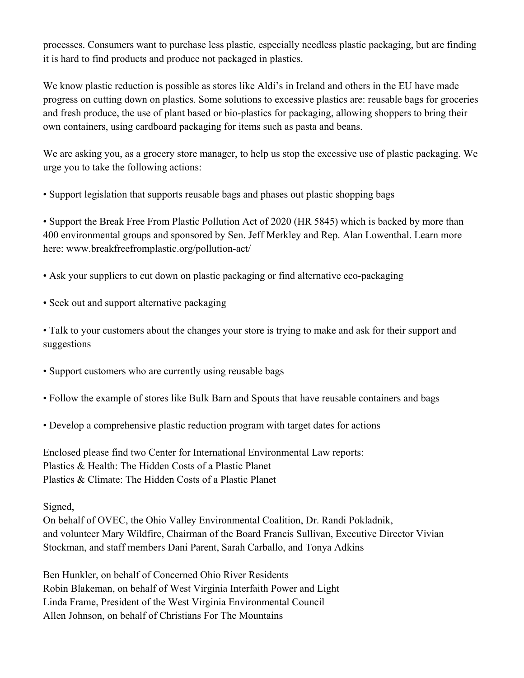processes. Consumers want to purchase less plastic, especially needless plastic packaging, but are finding it is hard to find products and produce not packaged in plastics.

We know plastic reduction is possible as stores like Aldi's in Ireland and others in the EU have made progress on cutting down on plastics. Some solutions to excessive plastics are: reusable bags for groceries and fresh produce, the use of plant based or bio-plastics for packaging, allowing shoppers to bring their own containers, using cardboard packaging for items such as pasta and beans.

We are asking you, as a grocery store manager, to help us stop the excessive use of plastic packaging. We urge you to take the following actions:

• Support legislation that supports reusable bags and phases out plastic shopping bags

• Support the Break Free From Plastic Pollution Act of 2020 (HR 5845) which is backed by more than 400 environmental groups and sponsored by Sen. Jeff Merkley and Rep. Alan Lowenthal. Learn more here: www.breakfreefromplastic.org/pollution-act/

- Ask your suppliers to cut down on plastic packaging or find alternative eco-packaging
- Seek out and support alternative packaging

• Talk to your customers about the changes your store is trying to make and ask for their support and suggestions

- Support customers who are currently using reusable bags
- Follow the example of stores like Bulk Barn and Spouts that have reusable containers and bags
- Develop a comprehensive plastic reduction program with target dates for actions

Enclosed please find two Center for International Environmental Law reports: Plastics & Health: The Hidden Costs of a Plastic Planet Plastics & Climate: The Hidden Costs of a Plastic Planet

Signed,

On behalf of OVEC, the Ohio Valley Environmental Coalition, Dr. Randi Pokladnik, and volunteer Mary Wildfire, Chairman of the Board Francis Sullivan, Executive Director Vivian Stockman, and staff members Dani Parent, Sarah Carballo, and Tonya Adkins

Ben Hunkler, on behalf of Concerned Ohio River Residents Robin Blakeman, on behalf of West Virginia Interfaith Power and Light Linda Frame, President of the West Virginia Environmental Council Allen Johnson, on behalf of Christians For The Mountains